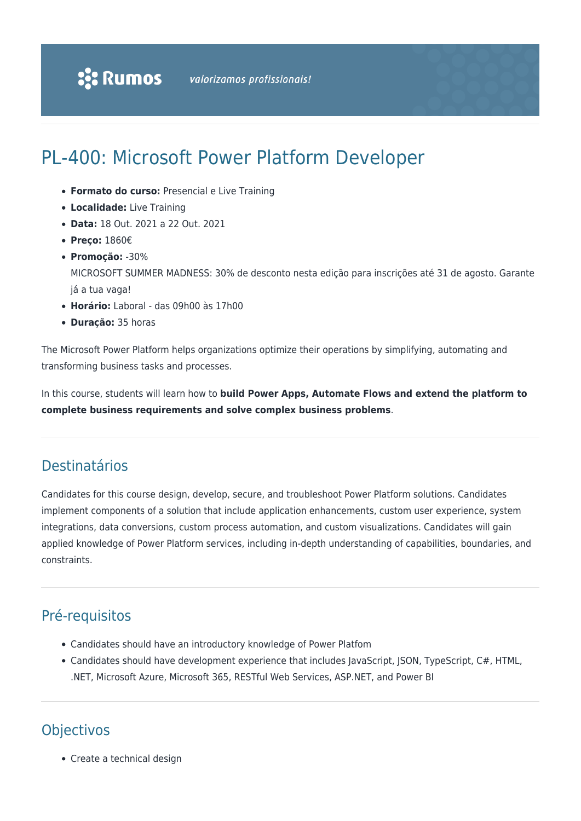# PL-400: Microsoft Power Platform Developer

- **Formato do curso:** Presencial e Live Training
- **Localidade:** Live Training
- **Data:** 18 Out. 2021 a 22 Out. 2021
- **Preço:** 1860€
- **Promoção:** -30%

MICROSOFT SUMMER MADNESS: 30% de desconto nesta edição para inscrições até 31 de agosto. Garante já a tua vaga!

- **Horário:** Laboral das 09h00 às 17h00
- **Duração:** 35 horas

The Microsoft Power Platform helps organizations optimize their operations by simplifying, automating and transforming business tasks and processes.

In this course, students will learn how to **build Power Apps, Automate Flows and extend the platform to complete business requirements and solve complex business problems**.

### Destinatários

Candidates for this course design, develop, secure, and troubleshoot Power Platform solutions. Candidates implement components of a solution that include application enhancements, custom user experience, system integrations, data conversions, custom process automation, and custom visualizations. Candidates will gain applied knowledge of Power Platform services, including in-depth understanding of capabilities, boundaries, and constraints.

# Pré-requisitos

- Candidates should have an introductory knowledge of Power Platfom
- Candidates should have development experience that includes JavaScript, JSON, TypeScript, C#, HTML, .NET, Microsoft Azure, Microsoft 365, RESTful Web Services, ASP.NET, and Power BI

## **Objectivos**

• Create a technical design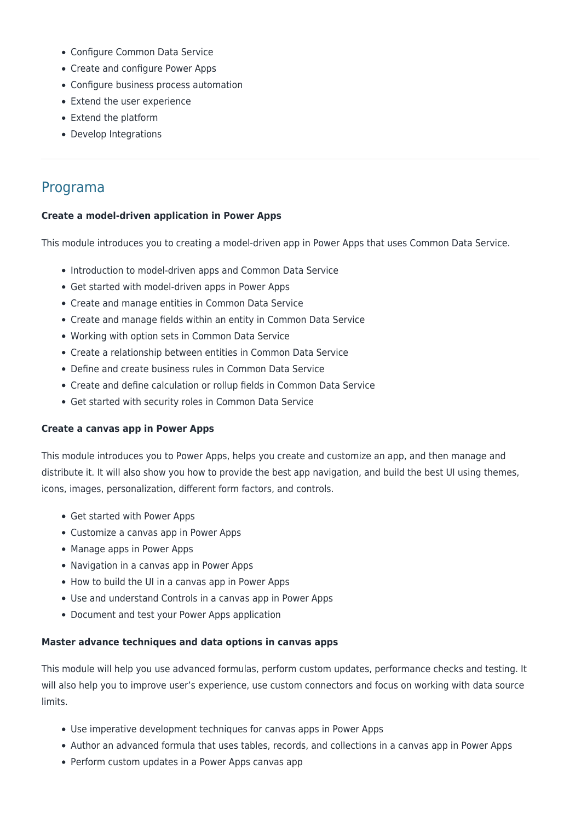- Configure Common Data Service
- Create and configure Power Apps
- Configure business process automation
- Extend the user experience
- Extend the platform
- Develop Integrations

### Programa

#### **Create a model-driven application in Power Apps**

This module introduces you to creating a model-driven app in Power Apps that uses Common Data Service.

- Introduction to model-driven apps and Common Data Service
- Get started with model-driven apps in Power Apps
- Create and manage entities in Common Data Service
- Create and manage fields within an entity in Common Data Service
- Working with option sets in Common Data Service
- Create a relationship between entities in Common Data Service
- Define and create business rules in Common Data Service
- Create and define calculation or rollup fields in Common Data Service
- Get started with security roles in Common Data Service

#### **Create a canvas app in Power Apps**

This module introduces you to Power Apps, helps you create and customize an app, and then manage and distribute it. It will also show you how to provide the best app navigation, and build the best UI using themes, icons, images, personalization, different form factors, and controls.

- Get started with Power Apps
- Customize a canvas app in Power Apps
- Manage apps in Power Apps
- Navigation in a canvas app in Power Apps
- How to build the UI in a canvas app in Power Apps
- Use and understand Controls in a canvas app in Power Apps
- Document and test your Power Apps application

#### **Master advance techniques and data options in canvas apps**

This module will help you use advanced formulas, perform custom updates, performance checks and testing. It will also help you to improve user's experience, use custom connectors and focus on working with data source limits.

- Use imperative development techniques for canvas apps in Power Apps
- Author an advanced formula that uses tables, records, and collections in a canvas app in Power Apps
- Perform custom updates in a Power Apps canvas app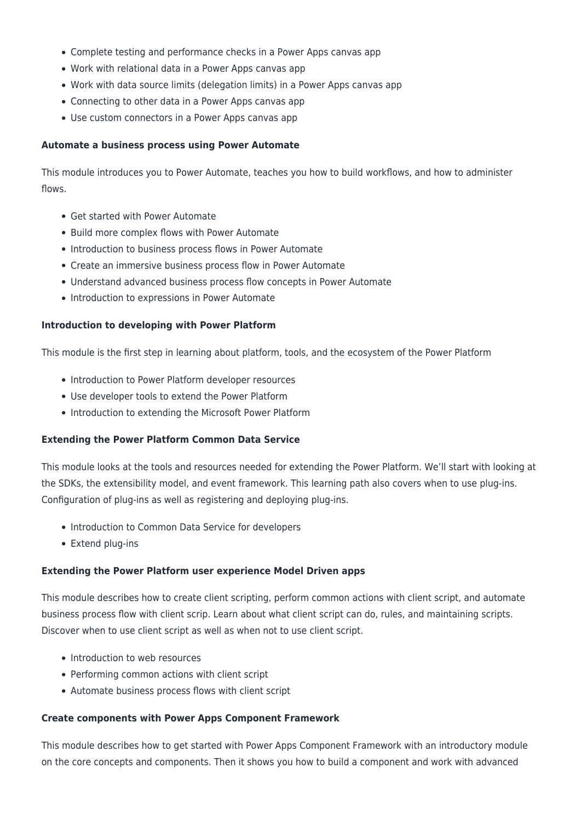- Complete testing and performance checks in a Power Apps canvas app
- Work with relational data in a Power Apps canvas app
- Work with data source limits (delegation limits) in a Power Apps canvas app
- Connecting to other data in a Power Apps canvas app
- Use custom connectors in a Power Apps canvas app

#### **Automate a business process using Power Automate**

This module introduces you to Power Automate, teaches you how to build workflows, and how to administer flows.

- Get started with Power Automate
- Build more complex flows with Power Automate
- Introduction to business process flows in Power Automate
- Create an immersive business process flow in Power Automate
- Understand advanced business process flow concepts in Power Automate
- Introduction to expressions in Power Automate

#### **Introduction to developing with Power Platform**

This module is the first step in learning about platform, tools, and the ecosystem of the Power Platform

- Introduction to Power Platform developer resources
- Use developer tools to extend the Power Platform
- Introduction to extending the Microsoft Power Platform

#### **Extending the Power Platform Common Data Service**

This module looks at the tools and resources needed for extending the Power Platform. We'll start with looking at the SDKs, the extensibility model, and event framework. This learning path also covers when to use plug-ins. Configuration of plug-ins as well as registering and deploying plug-ins.

- Introduction to Common Data Service for developers
- Extend plug-ins

#### **Extending the Power Platform user experience Model Driven apps**

This module describes how to create client scripting, perform common actions with client script, and automate business process flow with client scrip. Learn about what client script can do, rules, and maintaining scripts. Discover when to use client script as well as when not to use client script.

- Introduction to web resources
- Performing common actions with client script
- Automate business process flows with client script

#### **Create components with Power Apps Component Framework**

This module describes how to get started with Power Apps Component Framework with an introductory module on the core concepts and components. Then it shows you how to build a component and work with advanced